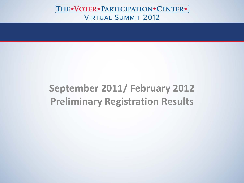# **September 2011/ February 2012 Preliminary Registration Results**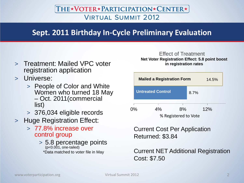# **Sept. 2011 Birthday In-Cycle Preliminary Evaluation**

- > Treatment: Mailed VPC voter registration application
- > Universe:
	- > People of Color and White – Oct. 2011(commercial list)
	- > 376,034 eligible records
- > Huge Registration Effect:
	- > 77.8% increase over control group
		- > 5.8 percentage points (p<0.001, one-tailed) \*Data matched to voter file in May

#### Effect of Treatment **Net Voter Registration Effect: 5.8 point boost in registration rates**



Current Cost Per Application Returned: \$3.84

#### Current NET Additional Registration Cost: \$7.50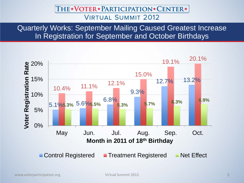Quarterly Works: September Mailing Caused Greatest Increase In Registration for September and October Birthdays

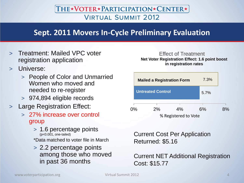# **Sept. 2011 Movers In-Cycle Preliminary Evaluation**

- > Treatment: Mailed VPC voter registration application
- Universe:
	- > People of Color and Unmarried Women who moved and needed to re-register
	- > 974,894 eligible records
- > Large Registration Effect:
	- > 27% increase over control group
		- > 1.6 percentage points (p<0.001, one-tailed)
		- \*Data matched to voter file in March
		- > 2.2 percentage points among those who moved in past 36 months

#### Effect of Treatment **Net Voter Registration Effect: 1.6 point boost in registration rates**



Current Cost Per Application Returned: \$5.16

Current NET Additional Registration Cost: \$15.77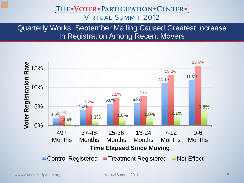Quarterly Works: September Mailing Caused Greatest Increase In Registration Among Recent Movers

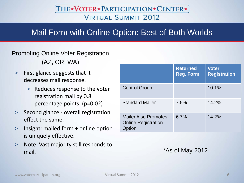# Mail Form with Online Option: Best of Both Worlds

#### Promoting Online Voter Registration

(AZ, OR, WA)

- > First glance suggests that it decreases mail response.
	- > Reduces response to the voter registration mail by 0.8 percentage points. (p=0.02)
- > Second glance overall registration effect the same.
- > Insight: mailed form + online option is uniquely effective.
- > Note: Vast majority still responds to mail.

|                                                                   | <b>Returned</b><br><b>Reg. Form</b> | <b>Voter</b><br><b>Registration</b> |
|-------------------------------------------------------------------|-------------------------------------|-------------------------------------|
| <b>Control Group</b>                                              |                                     | 10.1%                               |
| <b>Standard Mailer</b>                                            | 7.5%                                | 14.2%                               |
| <b>Mailer Also Promotes</b><br><b>Online Registration</b><br>tion | 6.7%                                | 14.2%                               |

\*As of May 2012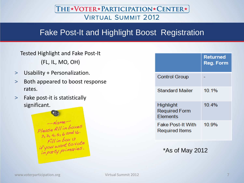# Fake Post-It and Highlight Boost Registration

Tested Highlight and Fake Post-It (FL, IL, MO, OH)

- > Usability + Personalization.
- > Both appeared to boost response rates.
- > Fake post-it is statistically significant.



|                       |                                                   | <b>Returned</b><br><b>Reg. Form</b> |
|-----------------------|---------------------------------------------------|-------------------------------------|
|                       | <b>Control Group</b>                              |                                     |
|                       | <b>Standard Mailer</b>                            | 10.1%                               |
| Highlight<br>Elements | <b>Required Form</b>                              | 10.4%                               |
|                       | <b>Fake Post-It With</b><br><b>Required Items</b> | 10.9%                               |

\*As of May 2012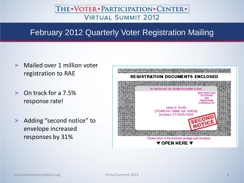# February 2012 Quarterly Voter Registration Mailing

- > Mailed over 1 million voter registration to RAE
- > On track for a 7.5% response rate!
- > Adding "second notice" to envelope increased responses by 31%

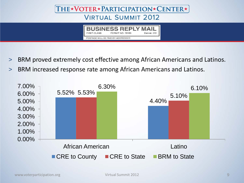

- > BRM proved extremely cost effective among African Americans and Latinos.
- > BRM increased response rate among African Americans and Latinos.

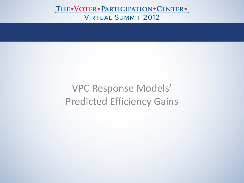VPC Response Models' Predicted Efficiency Gains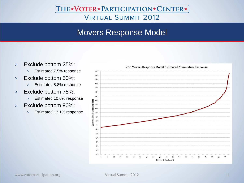# Movers Response Model

- > Exclude bottom 25%:
	- > Estimated 7.5% response
- > Exclude bottom 50%:
	- > Estimated 8.8% response
- > Exclude bottom 75%:
	- > Estimated 10.6% response
- > Exclude bottom 90%:
	- > Estimated 13.1% response

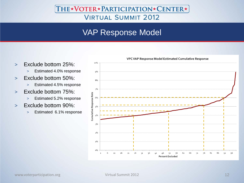# VAP Response Model

- > Exclude bottom 25%:
	- > Estimated 4.0% response
- > Exclude bottom 50%:
	- > Estimated 4.5% response
- > Exclude bottom 75%:
	- > Estimated 5.2% response
- > Exclude bottom 90%:
	- > Estimated 6.1% response



#### VPC VAP Response Model Estimated Cumulative Response